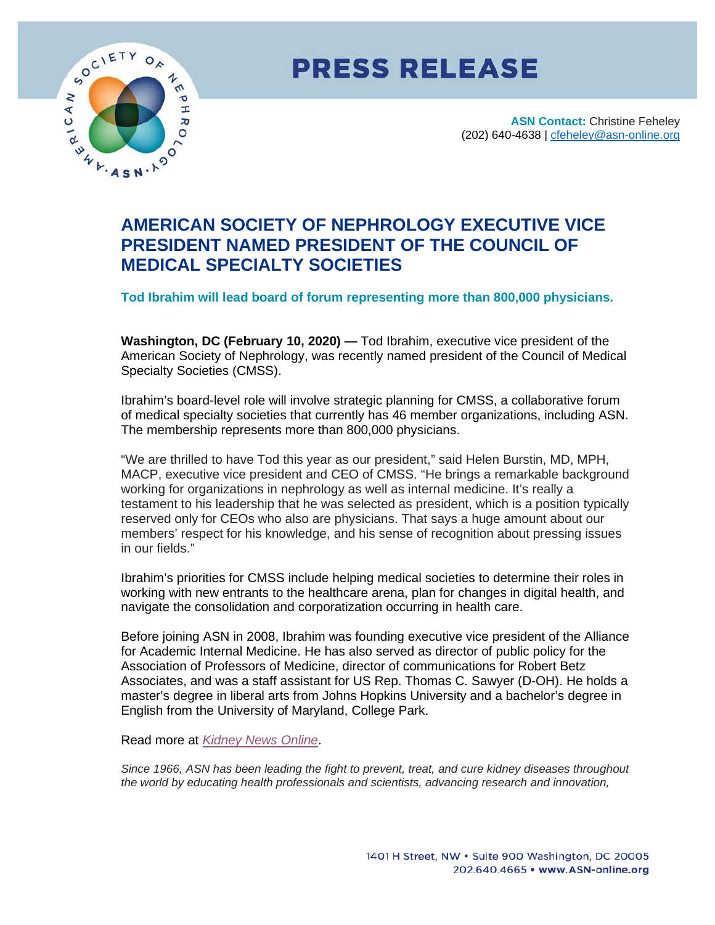

## **PRESS RELEASE**

**ASN Contact:** Christine Feheley (202) 640-4638 | [cfeheley@asn-online.org](mailto:cfeheley@asn-online.org)

## **AMERICAN SOCIETY OF NEPHROLOGY EXECUTIVE VICE PRESIDENT NAMED PRESIDENT OF THE COUNCIL OF MEDICAL SPECIALTY SOCIETIES**

**Tod Ibrahim will lead board of forum representing more than 800,000 physicians.**

**Washington, DC (February 10, 2020) —** Tod Ibrahim, executive vice president of the American Society of Nephrology, was recently named president of the Council of Medical Specialty Societies (CMSS).

Ibrahim's board-level role will involve strategic planning for CMSS, a collaborative forum of medical specialty societies that currently has 46 member organizations, including ASN. The membership represents more than 800,000 physicians.

"We are thrilled to have Tod this year as our president," said Helen Burstin, MD, MPH, MACP, executive vice president and CEO of CMSS. "He brings a remarkable background working for organizations in nephrology as well as internal medicine. It's really a testament to his leadership that he was selected as president, which is a position typically reserved only for CEOs who also are physicians. That says a huge amount about our members' respect for his knowledge, and his sense of recognition about pressing issues in our fields."

Ibrahim's priorities for CMSS include helping medical societies to determine their roles in working with new entrants to the healthcare arena, plan for changes in digital health, and navigate the consolidation and corporatization occurring in health care.

Before joining ASN in 2008, Ibrahim was founding executive vice president of the Alliance for Academic Internal Medicine. He has also served as director of public policy for the Association of Professors of Medicine, director of communications for Robert Betz Associates, and was a staff assistant for US Rep. Thomas C. Sawyer (D-OH). He holds a master's degree in liberal arts from Johns Hopkins University and a bachelor's degree in English from the University of Maryland, College Park.

Read more at *[Kidney News Online](https://www.kidneynews.org/kidney-news/features/asn-executive-vice-president-tod-ibrahim-named-president-of-cmss)*.

*Since 1966, ASN has been leading the fight to prevent, treat, and cure kidney diseases throughout the world by educating health professionals and scientists, advancing research and innovation,*